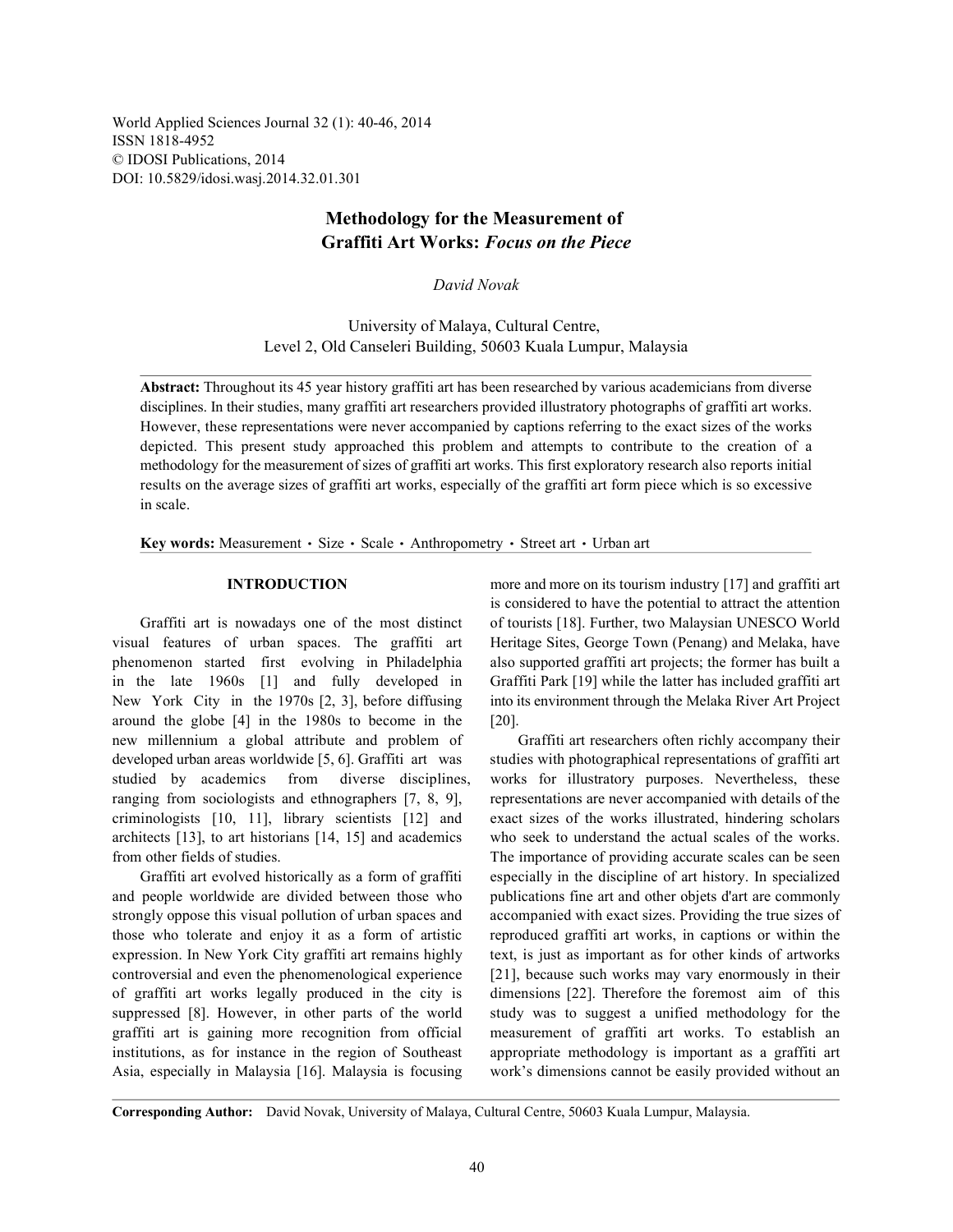World Applied Sciences Journal 32 (1): 40-46, 2014 ISSN 1818-4952 © IDOSI Publications, 2014 DOI: 10.5829/idosi.wasj.2014.32.01.301

# **Methodology for the Measurement of Graffiti Art Works:** *Focus on the Piece*

*David Novak*

University of Malaya, Cultural Centre, Level 2, Old Canseleri Building, 50603 Kuala Lumpur, Malaysia

**Abstract:** Throughout its 45 year history graffiti art has been researched by various academicians from diverse disciplines. In their studies, many graffiti art researchers provided illustratory photographs of graffiti art works. However, these representations were never accompanied by captions referring to the exact sizes of the works depicted. This present study approached this problem and attempts to contribute to the creation of a methodology for the measurement of sizes of graffiti art works. This first exploratory research also reports initial results on the average sizes of graffiti art works, especially of the graffiti art form piece which is so excessive in scale.

**Key words:** Measurement · Size · Scale · Anthropometry · Street art · Urban art

visual features of urban spaces. The graffiti art Heritage Sites, George Town (Penang) and Melaka, have phenomenon started first evolving in Philadelphia also supported graffiti art projects; the former has built a in the late 1960s [1] and fully developed in Graffiti Park [19] while the latter has included graffiti art New York City in the 1970s [2, 3], before diffusing into its environment through the Melaka River Art Project around the globe [4] in the 1980s to become in the [20]. new millennium a global attribute and problem of Graffiti art researchers often richly accompany their developed urban areas worldwide [5, 6]. Graffiti art was studies with photographical representations of graffiti art studied by academics from diverse disciplines, works for illustratory purposes. Nevertheless, these ranging from sociologists and ethnographers [7, 8, 9], representations are never accompanied with details of the criminologists [10, 11], library scientists [12] and exact sizes of the works illustrated, hindering scholars architects [13], to art historians [14, 15] and academics who seek to understand the actual scales of the works. from other fields of studies. The importance of providing accurate scales can be seen

and people worldwide are divided between those who publications fine art and other objets d'art are commonly strongly oppose this visual pollution of urban spaces and accompanied with exact sizes. Providing the true sizes of those who tolerate and enjoy it as a form of artistic reproduced graffiti art works, in captions or within the expression. In New York City graffiti art remains highly text, is just as important as for other kinds of artworks controversial and even the phenomenological experience [21], because such works may vary enormously in their of graffiti art works legally produced in the city is dimensions [22]. Therefore the foremost aim of this suppressed [8]. However, in other parts of the world study was to suggest a unified methodology for the graffiti art is gaining more recognition from official measurement of graffiti art works. To establish an institutions, as for instance in the region of Southeast appropriate methodology is important as a graffiti art Asia, especially in Malaysia [16]. Malaysia is focusing work's dimensions cannot be easily provided without an

**INTRODUCTION** more and more on its tourism industry [17] and graffiti art Graffiti art is nowadays one of the most distinct of tourists [18]. Further, two Malaysian UNESCO World is considered to have the potential to attract the attention

Graffiti art evolved historically as a form of graffiti especially in the discipline of art history. In specialized

**Corresponding Author:** David Novak, University of Malaya, Cultural Centre, 50603 Kuala Lumpur, Malaysia.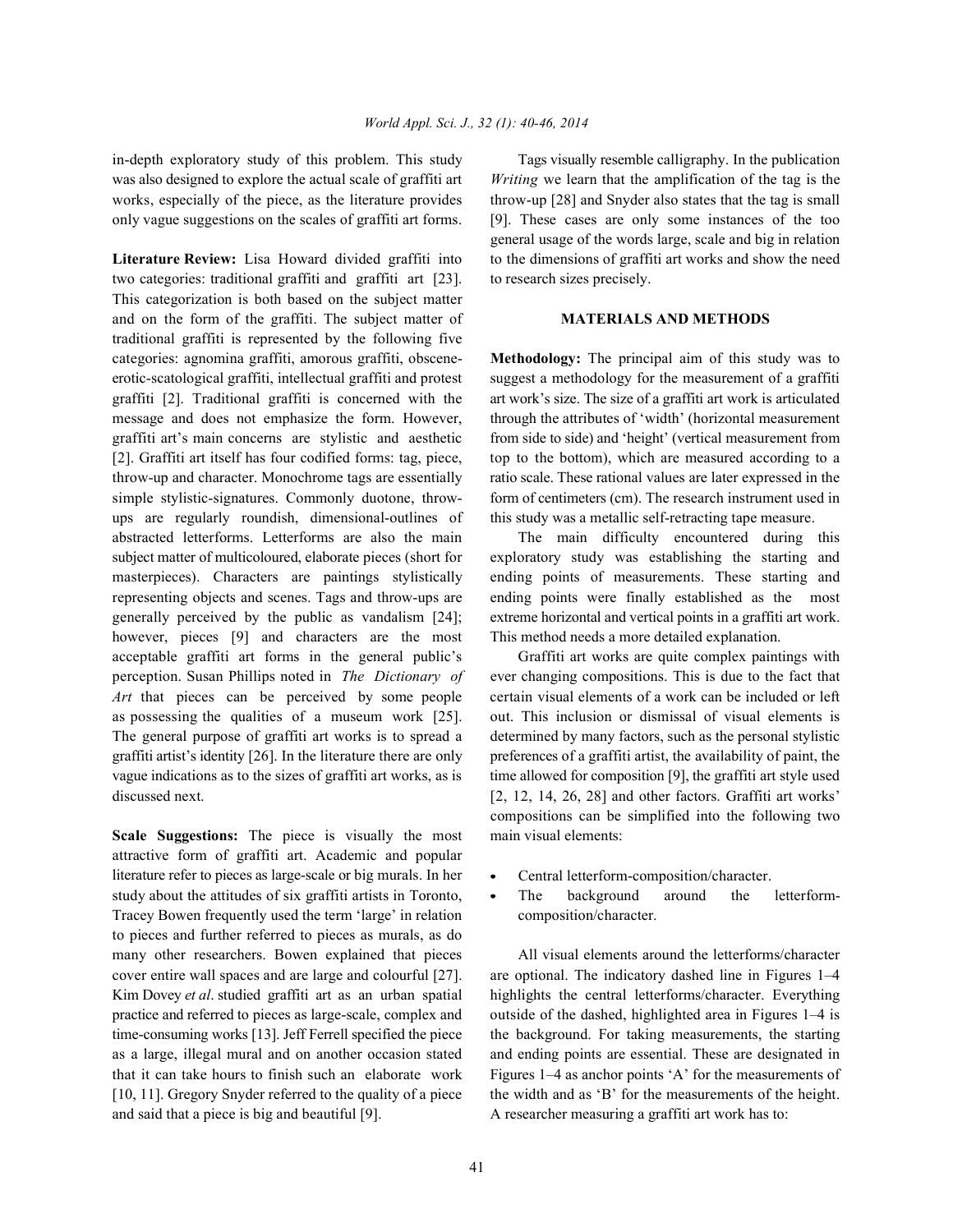was also designed to explore the actual scale of graffiti art *Writing* we learn that the amplification of the tag is the works, especially of the piece, as the literature provides throw-up [28] and Snyder also states that the tag is small only vague suggestions on the scales of graffiti art forms. [9]. These cases are only some instances of the too

two categories: traditional graffiti and graffiti art [23]. to research sizes precisely. This categorization is both based on the subject matter and on the form of the graffiti. The subject matter of **MATERIALS AND METHODS** traditional graffiti is represented by the following five categories: agnomina graffiti, amorous graffiti, obscene- **Methodology:** The principal aim of this study was to erotic-scatological graffiti, intellectual graffiti and protest suggest a methodology for the measurement of a graffiti graffiti [2]. Traditional graffiti is concerned with the art work's size. The size of a graffiti art work is articulated message and does not emphasize the form. However, through the attributes of 'width' (horizontal measurement graffiti art's main concerns are stylistic and aesthetic from side to side) and 'height' (vertical measurement from [2]. Graffiti art itself has four codified forms: tag, piece, top to the bottom), which are measured according to a throw-up and character. Monochrome tags are essentially ratio scale. These rational values are later expressed in the simple stylistic-signatures. Commonly duotone, throw- form of centimeters (cm). The research instrument used in ups are regularly roundish, dimensional-outlines of this study was a metallic self-retracting tape measure. abstracted letterforms. Letterforms are also the main The main difficulty encountered during this subject matter of multicoloured, elaborate pieces (short for exploratory study was establishing the starting and masterpieces). Characters are paintings stylistically ending points of measurements. These starting and representing objects and scenes. Tags and throw-ups are ending points were finally established as the most generally perceived by the public as vandalism [24]; extreme horizontal and vertical points in a graffiti art work. however, pieces [9] and characters are the most This method needs a more detailed explanation. acceptable graffiti art forms in the general public's Graffiti art works are quite complex paintings with perception. Susan Phillips noted in *The Dictionary of* ever changing compositions. This is due to the fact that *Art* that pieces can be perceived by some people certain visual elements of a work can be included or left as possessing the qualities of a museum work [25]. out. This inclusion or dismissal of visual elements is The general purpose of graffiti art works is to spread a determined by many factors, such as the personal stylistic graffiti artist's identity [26]. In the literature there are only preferences of a graffiti artist, the availability of paint, the vague indications as to the sizes of graffiti art works, as is time allowed for composition [9], the graffiti art style used discussed next. [2, 12, 14, 26, 28] and other factors. Graffiti art works'

**Scale Suggestions:** The piece is visually the most main visual elements: attractive form of graffiti art. Academic and popular literature refer to pieces as large-scale or big murals. In her central letterform-composition/character. study about the attitudes of six graffiti artists in Toronto, • The background around the letterform-Tracey Bowen frequently used the term 'large' in relation composition/character. to pieces and further referred to pieces as murals, as do many other researchers. Bowen explained that pieces All visual elements around the letterforms/character and said that a piece is big and beautiful [9]. A researcher measuring a graffiti art work has to:

in-depth exploratory study of this problem. This study Tags visually resemble calligraphy. In the publication **Literature Review:** Lisa Howard divided graffiti into to the dimensions of graffiti art works and show the need general usage of the words large, scale and big in relation

compositions can be simplified into the following two

- 
- 

cover entire wall spaces and are large and colourful [27]. are optional. The indicatory dashed line in Figures 1–4 Kim Dovey *et al*. studied graffiti art as an urban spatial highlights the central letterforms/character. Everything practice and referred to pieces as large-scale, complex and outside of the dashed, highlighted area in Figures 1–4 is time-consuming works [13]. Jeff Ferrell specified the piece the background. For taking measurements, the starting as a large, illegal mural and on another occasion stated and ending points are essential. These are designated in that it can take hours to finish such an elaborate work Figures 1–4 as anchor points 'A' for the measurements of [10, 11]. Gregory Snyder referred to the quality of a piece the width and as 'B' for the measurements of the height.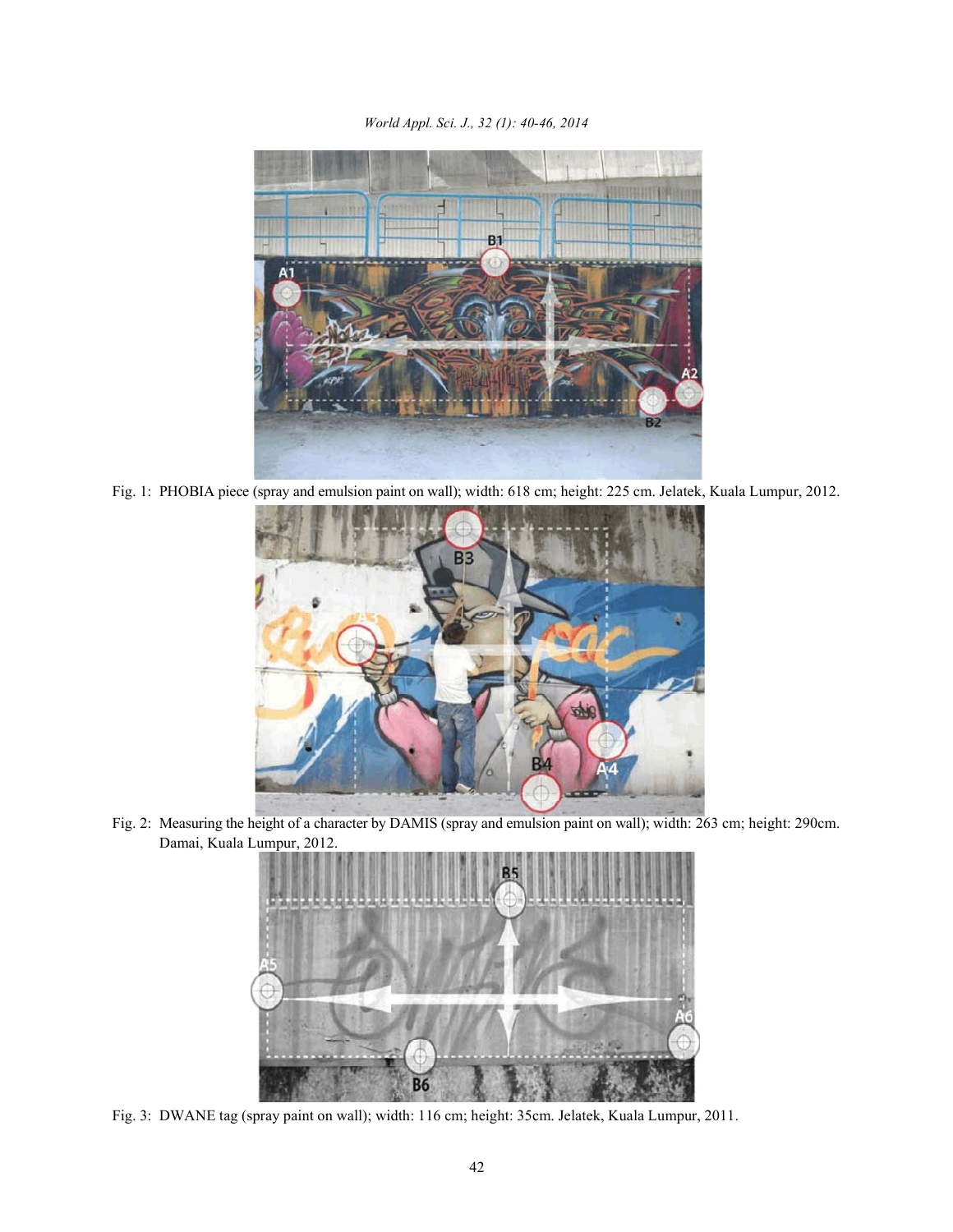*World Appl. Sci. J., 32 (1): 40-46, 2014*



Fig. 1: PHOBIA piece (spray and emulsion paint on wall); width: 618 cm; height: 225 cm. Jelatek, Kuala Lumpur, 2012.



Fig. 2: Measuring the height of a character by DAMIS (spray and emulsion paint on wall); width: 263 cm; height: 290cm. Damai, Kuala Lumpur, 2012.



Fig. 3: DWANE tag (spray paint on wall); width: 116 cm; height: 35cm. Jelatek, Kuala Lumpur, 2011.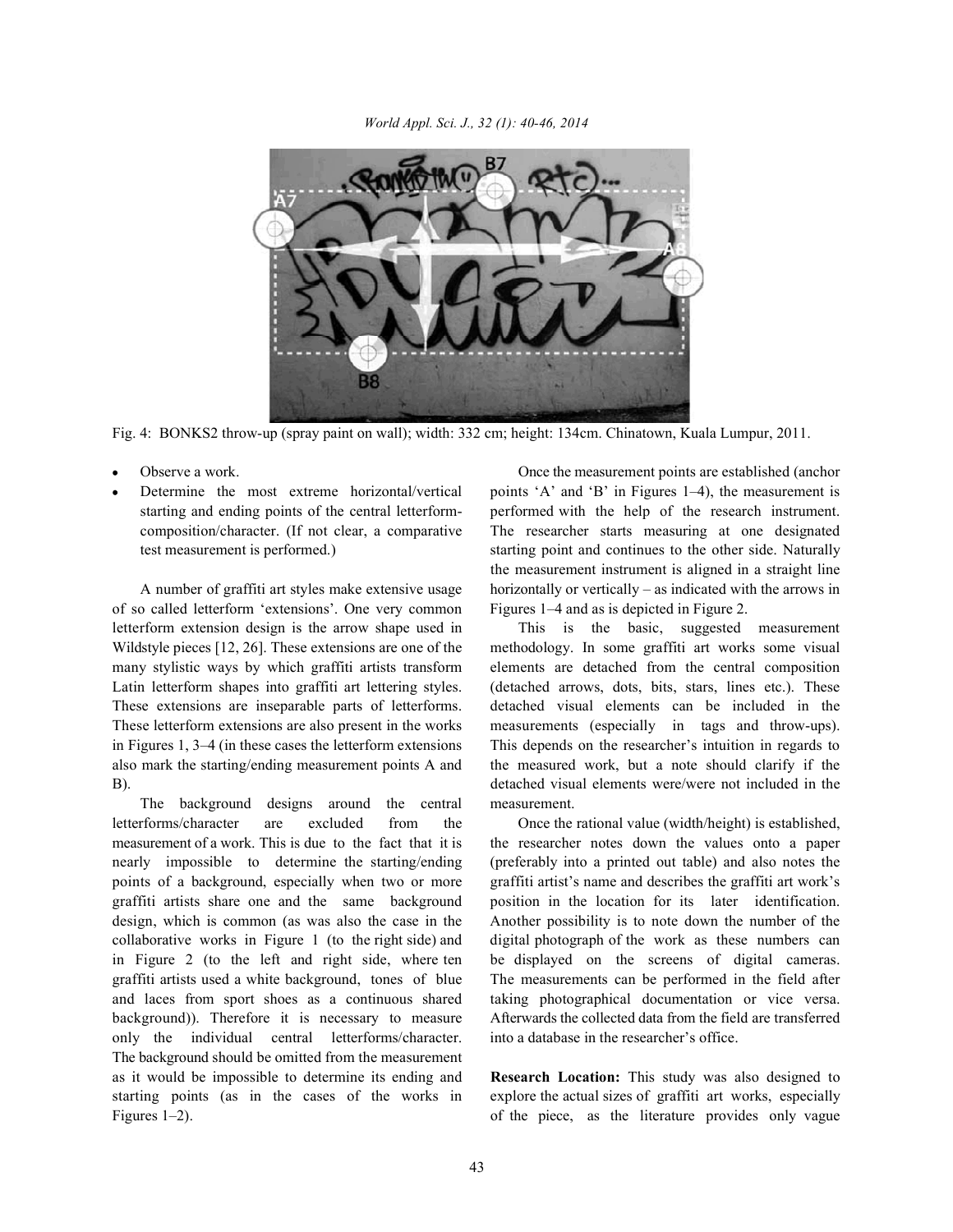

Fig. 4: BONKS2 throw-up (spray paint on wall); width: 332 cm; height: 134cm. Chinatown, Kuala Lumpur, 2011.

- 
- 

of so called letterform 'extensions'. One very common Figures 1–4 and as is depicted in Figure 2. letterform extension design is the arrow shape used in This is the basic, suggested measurement Wildstyle pieces [12, 26]. These extensions are one of the methodology. In some graffiti art works some visual many stylistic ways by which graffiti artists transform elements are detached from the central composition Latin letterform shapes into graffiti art lettering styles. (detached arrows, dots, bits, stars, lines etc.). These These extensions are inseparable parts of letterforms. detached visual elements can be included in the These letterform extensions are also present in the works measurements (especially in tags and throw-ups). in Figures 1, 3–4 (in these cases the letterform extensions This depends on the researcher's intuition in regards to also mark the starting/ending measurement points A and the measured work, but a note should clarify if the B). detached visual elements were/were not included in the

The background designs around the central measurement. letterforms/character are excluded from the Once the rational value (width/height) is established, measurement of a work. This is due to the fact that it is the researcher notes down the values onto a paper nearly impossible to determine the starting/ending (preferably into a printed out table) and also notes the points of a background, especially when two or more graffiti artist's name and describes the graffiti art work's graffiti artists share one and the same background position in the location for its later identification. design, which is common (as was also the case in the Another possibility is to note down the number of the collaborative works in Figure 1 (to the right side) and digital photograph of the work as these numbers can in Figure 2 (to the left and right side, where ten be displayed on the screens of digital cameras. graffiti artists used a white background, tones of blue The measurements can be performed in the field after and laces from sport shoes as a continuous shared taking photographical documentation or vice versa. background)). Therefore it is necessary to measure Afterwards the collected data from the field are transferred only the individual central letterforms/character. into a database in the researcher's office. The background should be omitted from the measurement as it would be impossible to determine its ending and **Research Location:** This study was also designed to starting points (as in the cases of the works in explore the actual sizes of graffiti art works, especially Figures 1–2). The piece of the piece, as the literature provides only vague

Observe a work. Once the measurement points are established (anchor Determine the most extreme horizontal/vertical points 'A' and 'B' in Figures 1-4), the measurement is starting and ending points of the central letterform- performed with the help of the research instrument. composition/character. (If not clear, a comparative The researcher starts measuring at one designated test measurement is performed.) starting point and continues to the other side. Naturally A number of graffiti art styles make extensive usage horizontally or vertically – as indicated with the arrows in the measurement instrument is aligned in a straight line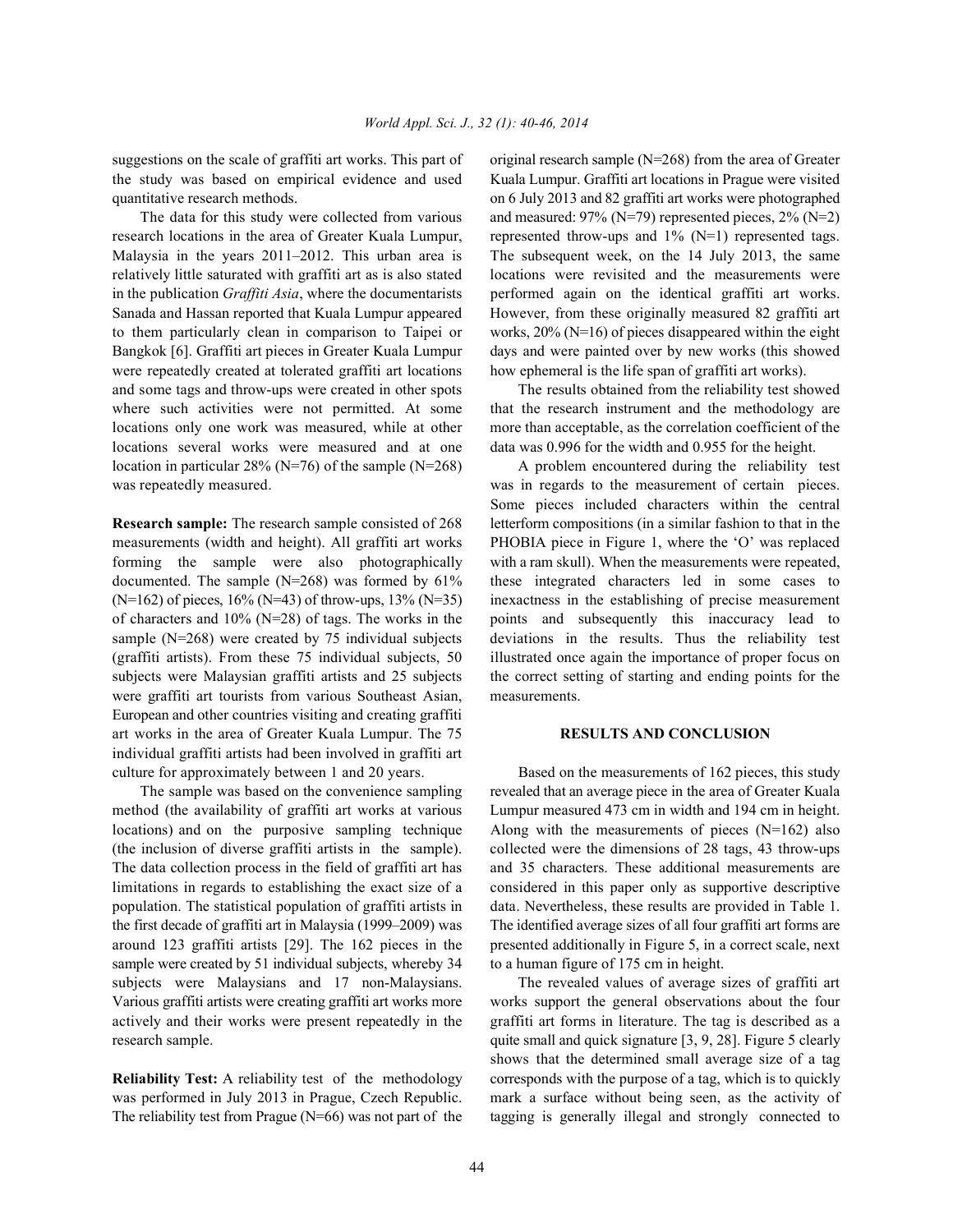the study was based on empirical evidence and used Kuala Lumpur. Graffiti art locations in Prague were visited quantitative research methods. on 6 July 2013 and 82 graffiti art works were photographed

research locations in the area of Greater Kuala Lumpur, represented throw-ups and 1% (N=1) represented tags. Malaysia in the years 2011–2012. This urban area is The subsequent week, on the 14 July 2013, the same relatively little saturated with graffiti art as is also stated locations were revisited and the measurements were in the publication *Graffiti Asia*, where the documentarists performed again on the identical graffiti art works. Sanada and Hassan reported that Kuala Lumpur appeared However, from these originally measured 82 graffiti art to them particularly clean in comparison to Taipei or works, 20% (N=16) of pieces disappeared within the eight Bangkok [6]. Graffiti art pieces in Greater Kuala Lumpur days and were painted over by new works (this showed were repeatedly created at tolerated graffiti art locations how ephemeral is the life span of graffiti art works). and some tags and throw-ups were created in other spots The results obtained from the reliability test showed where such activities were not permitted. At some that the research instrument and the methodology are locations only one work was measured, while at other more than acceptable, as the correlation coefficient of the locations several works were measured and at one data was 0.996 for the width and 0.955 for the height. location in particular 28% (N=76) of the sample (N=268) A problem encountered during the reliability test

measurements (width and height). All graffiti art works PHOBIA piece in Figure 1, where the 'O' was replaced forming the sample were also photographically with a ram skull). When the measurements were repeated, documented. The sample (N=268) was formed by 61% these integrated characters led in some cases to  $(N=162)$  of pieces,  $16\%$  (N=43) of throw-ups,  $13\%$  (N=35) inexactness in the establishing of precise measurement of characters and  $10\%$  (N=28) of tags. The works in the points and subsequently this inaccuracy lead to sample (N=268) were created by 75 individual subjects deviations in the results. Thus the reliability test (graffiti artists). From these 75 individual subjects, 50 illustrated once again the importance of proper focus on subjects were Malaysian graffiti artists and 25 subjects the correct setting of starting and ending points for the were graffiti art tourists from various Southeast Asian, measurements. European and other countries visiting and creating graffiti art works in the area of Greater Kuala Lumpur. The 75 **RESULTS AND CONCLUSION** individual graffiti artists had been involved in graffiti art culture for approximately between 1 and 20 years. Based on the measurements of 162 pieces, this study

method (the availability of graffiti art works at various Lumpur measured 473 cm in width and 194 cm in height. locations) and on the purposive sampling technique Along with the measurements of pieces  $(N=162)$  also (the inclusion of diverse graffiti artists in the sample). collected were the dimensions of 28 tags, 43 throw-ups The data collection process in the field of graffiti art has and 35 characters. These additional measurements are limitations in regards to establishing the exact size of a considered in this paper only as supportive descriptive population. The statistical population of graffiti artists in data. Nevertheless, these results are provided in Table 1. the first decade of graffiti art in Malaysia (1999–2009) was The identified average sizes of all four graffiti art forms are around 123 graffiti artists [29]. The 162 pieces in the presented additionally in Figure 5, in a correct scale, next sample were created by 51 individual subjects, whereby 34 to a human figure of 175 cm in height. subjects were Malaysians and 17 non-Malaysians. The revealed values of average sizes of graffiti art Various graffiti artists were creating graffiti art works more works support the general observations about the four actively and their works were present repeatedly in the graffiti art forms in literature. The tag is described as a research sample. **The sample** and quick signature [3, 9, 28]. Figure 5 clearly

was performed in July 2013 in Prague, Czech Republic. mark a surface without being seen, as the activity of The reliability test from Prague  $(N=66)$  was not part of the tagging is generally illegal and strongly connected to

suggestions on the scale of graffiti art works. This part of original research sample  $(N=268)$  from the area of Greater The data for this study were collected from various and measured:  $97\%$  (N=79) represented pieces,  $2\%$  (N=2)

was repeatedly measured. Was in regards to the measurement of certain pieces. Some pieces included characters within the central **Research sample:** The research sample consisted of 268 letterform compositions (in a similar fashion to that in the

The sample was based on the convenience sampling revealed that an average piece in the area of Greater Kuala

shows that the determined small average size of a tag **Reliability Test:** A reliability test of the methodology corresponds with the purpose of a tag, which is to quickly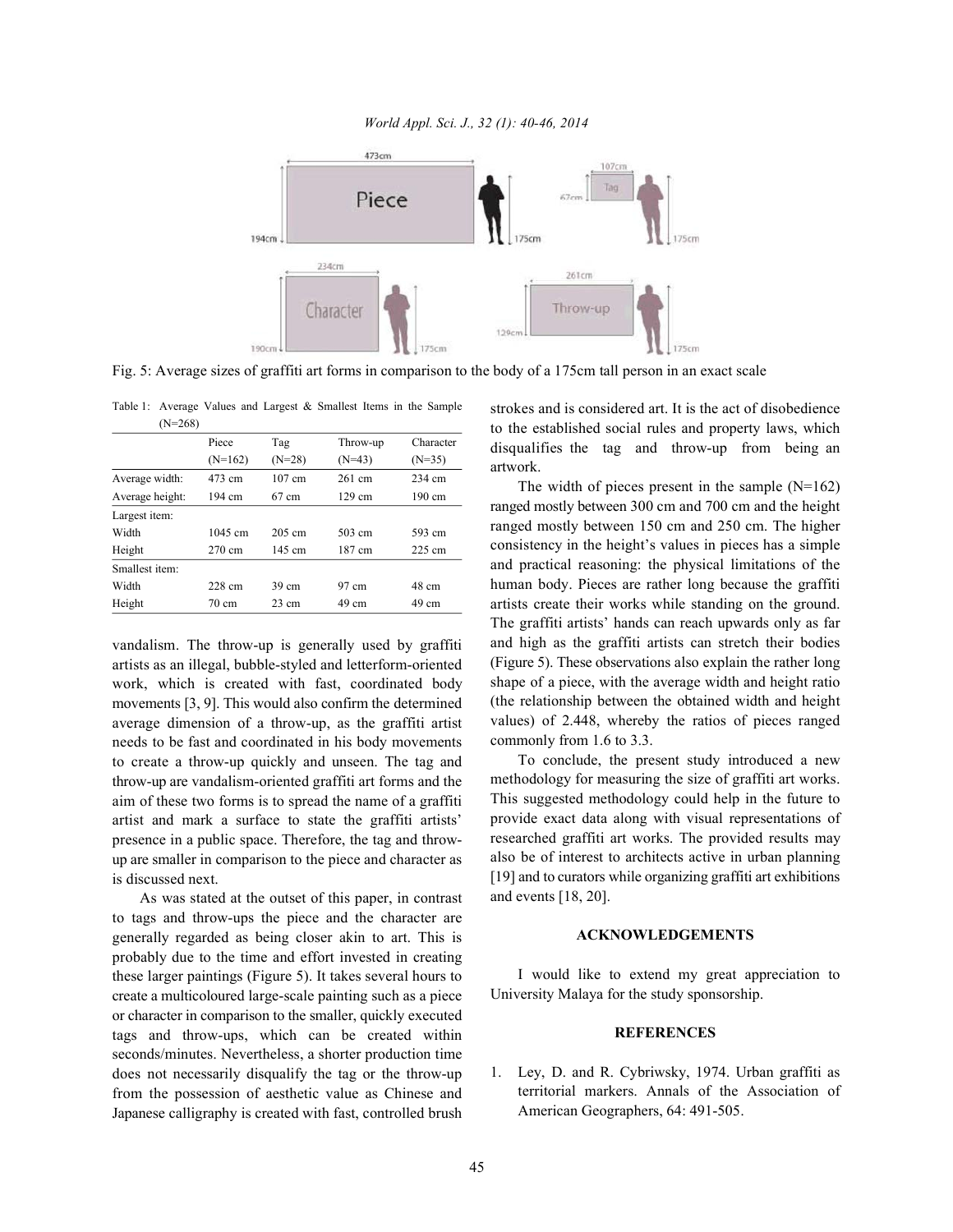

Fig. 5: Average sizes of graffiti art forms in comparison to the body of a 175cm tall person in an exact scale

| $(N=268)$       |                   |                  |                  |                  |
|-----------------|-------------------|------------------|------------------|------------------|
|                 | Piece             | Tag              | Throw-up         | Character        |
|                 | $(N=162)$         | $(N=28)$         | $(N=43)$         | $(N=35)$         |
| Average width:  | 473 cm            | $107 \text{ cm}$ | $261$ cm         | 234 cm           |
| Average height: | 194 cm            | $67 \text{ cm}$  | $129 \text{ cm}$ | 190 cm           |
| Largest item:   |                   |                  |                  |                  |
| Width           | $1045 \text{ cm}$ | $205 \text{ cm}$ | 503 cm           | 593 cm           |
| Height          | $270 \text{ cm}$  | 145 cm           | 187 cm           | $225 \text{ cm}$ |
| Smallest item:  |                   |                  |                  |                  |
| Width           | 228 cm            | $39 \text{ cm}$  | 97 cm            | 48 cm            |
| Height          | 70 cm             | $23 \text{ cm}$  | 49 cm            | 49 cm            |

Table 1: Average Values and Largest & Smallest Items in the Sample

vandalism. The throw-up is generally used by graffiti artists as an illegal, bubble-styled and letterform-oriented work, which is created with fast, coordinated body movements [3, 9]. This would also confirm the determined average dimension of a throw-up, as the graffiti artist needs to be fast and coordinated in his body movements to create a throw-up quickly and unseen. The tag and throw-up are vandalism-oriented graffiti art forms and the aim of these two forms is to spread the name of a graffiti artist and mark a surface to state the graffiti artists' presence in a public space. Therefore, the tag and throwup are smaller in comparison to the piece and character as is discussed next.

As was stated at the outset of this paper, in contrast to tags and throw-ups the piece and the character are generally regarded as being closer akin to art. This is probably due to the time and effort invested in creating these larger paintings (Figure 5). It takes several hours to create a multicoloured large-scale painting such as a piece or character in comparison to the smaller, quickly executed tags and throw-ups, which can be created within seconds/minutes. Nevertheless, a shorter production time does not necessarily disqualify the tag or the throw-up from the possession of aesthetic value as Chinese and Japanese calligraphy is created with fast, controlled brush strokes and is considered art. It is the act of disobedience to the established social rules and property laws, which disqualifies the tag and throw-up from being an artwork.

The width of pieces present in the sample  $(N=162)$ ranged mostly between 300 cm and 700 cm and the height ranged mostly between 150 cm and 250 cm. The higher consistency in the height's values in pieces has a simple and practical reasoning: the physical limitations of the human body. Pieces are rather long because the graffiti artists create their works while standing on the ground. The graffiti artists' hands can reach upwards only as far and high as the graffiti artists can stretch their bodies (Figure 5). These observations also explain the rather long shape of a piece, with the average width and height ratio (the relationship between the obtained width and height values) of 2.448, whereby the ratios of pieces ranged commonly from 1.6 to 3.3.

To conclude, the present study introduced a new methodology for measuring the size of graffiti art works. This suggested methodology could help in the future to provide exact data along with visual representations of researched graffiti art works. The provided results may also be of interest to architects active in urban planning [19] and to curators while organizing graffiti art exhibitions and events [18, 20].

## **ACKNOWLEDGEMENTS**

I would like to extend my great appreciation to University Malaya for the study sponsorship.

## **REFERENCES**

1. Ley, D. and R. Cybriwsky, 1974. Urban graffiti as territorial markers. Annals of the Association of American Geographers, 64: 491-505.